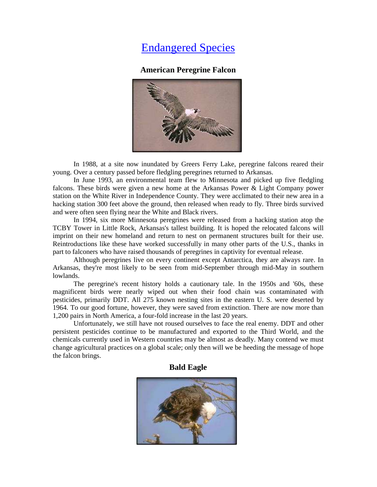# Endangered Species

## **American Peregrine Falcon**



In 1988, at a site now inundated by Greers Ferry Lake, peregrine falcons reared their young. Over a century passed before fledgling peregrines returned to Arkansas.

In June 1993, an environmental team flew to Minnesota and picked up five fledgling falcons. These birds were given a new home at the Arkansas Power & Light Company power station on the White River in Independence County. They were acclimated to their new area in a hacking station 300 feet above the ground, then released when ready to fly. Three birds survived and were often seen flying near the White and Black rivers.

In 1994, six more Minnesota peregrines were released from a hacking station atop the TCBY Tower in Little Rock, Arkansas's tallest building. It is hoped the relocated falcons will imprint on their new homeland and return to nest on permanent structures built for their use. Reintroductions like these have worked successfully in many other parts of the U.S., thanks in part to falconers who have raised thousands of peregrines in captivity for eventual release.

Although peregrines live on every continent except Antarctica, they are always rare. In Arkansas, they're most likely to be seen from mid-September through mid-May in southern lowlands.

The peregrine's recent history holds a cautionary tale. In the 1950s and '60s, these magnificent birds were nearly wiped out when their food chain was contaminated with pesticides, primarily DDT. All 275 known nesting sites in the eastern U. S. were deserted by 1964. To our good fortune, however, they were saved from extinction. There are now more than 1,200 pairs in North America, a four-fold increase in the last 20 years.

Unfortunately, we still have not roused ourselves to face the real enemy. DDT and other persistent pesticides continue to be manufactured and exported to the Third World, and the chemicals currently used in Western countries may be almost as deadly. Many contend we must change agricultural practices on a global scale; only then will we be heeding the message of hope the falcon brings.

### **Bald Eagle**

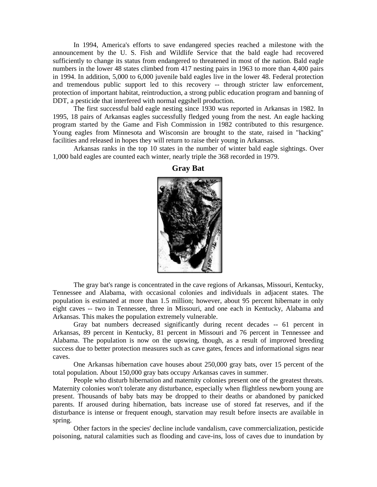In 1994, America's efforts to save endangered species reached a milestone with the announcement by the U. S. Fish and Wildlife Service that the bald eagle had recovered sufficiently to change its status from endangered to threatened in most of the nation. Bald eagle numbers in the lower 48 states climbed from 417 nesting pairs in 1963 to more than 4,400 pairs in 1994. In addition, 5,000 to 6,000 juvenile bald eagles live in the lower 48. Federal protection and tremendous public support led to this recovery -- through stricter law enforcement, protection of important habitat, reintroduction, a strong public education program and banning of DDT, a pesticide that interfered with normal eggshell production.

The first successful bald eagle nesting since 1930 was reported in Arkansas in 1982. In 1995, 18 pairs of Arkansas eagles successfully fledged young from the nest. An eagle hacking program started by the Game and Fish Commission in 1982 contributed to this resurgence. Young eagles from Minnesota and Wisconsin are brought to the state, raised in "hacking" facilities and released in hopes they will return to raise their young in Arkansas.

Arkansas ranks in the top 10 states in the number of winter bald eagle sightings. Over 1,000 bald eagles are counted each winter, nearly triple the 368 recorded in 1979.



**Gray Bat** 

The gray bat's range is concentrated in the cave regions of Arkansas, Missouri, Kentucky, Tennessee and Alabama, with occasional colonies and individuals in adjacent states. The population is estimated at more than 1.5 million; however, about 95 percent hibernate in only eight caves -- two in Tennessee, three in Missouri, and one each in Kentucky, Alabama and Arkansas. This makes the population extremely vulnerable.

Gray bat numbers decreased significantly during recent decades -- 61 percent in Arkansas, 89 percent in Kentucky, 81 percent in Missouri and 76 percent in Tennessee and Alabama. The population is now on the upswing, though, as a result of improved breeding success due to better protection measures such as cave gates, fences and informational signs near caves.

One Arkansas hibernation cave houses about 250,000 gray bats, over 15 percent of the total population. About 150,000 gray bats occupy Arkansas caves in summer.

People who disturb hibernation and maternity colonies present one of the greatest threats. Maternity colonies won't tolerate any disturbance, especially when flightless newborn young are present. Thousands of baby bats may be dropped to their deaths or abandoned by panicked parents. If aroused during hibernation, bats increase use of stored fat reserves, and if the disturbance is intense or frequent enough, starvation may result before insects are available in spring.

Other factors in the species' decline include vandalism, cave commercialization, pesticide poisoning, natural calamities such as flooding and cave-ins, loss of caves due to inundation by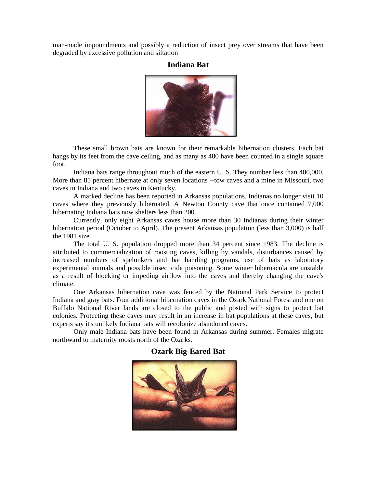man-made impoundments and possibly a reduction of insect prey over streams that have been degraded by excessive pollution and siltation

## **Indiana Bat**



These small brown bats are known for their remarkable hibernation clusters. Each bat hangs by its feet from the cave ceiling, and as many as 480 have been counted in a single square foot.

Indiana bats range throughout much of the eastern U. S. They number less than 400,000. More than 85 percent hibernate at only seven locations --tow caves and a mine in Missouri, two caves in Indiana and two caves in Kentucky.

A marked decline has been reported in Arkansas populations. Indianas no longer visit 10 caves where they previously hibernated. A Newton County cave that once contained 7,000 hibernating Indiana bats now shelters less than 200.

Currently, only eight Arkansas caves house more than 30 Indianas during their winter hibernation period (October to April). The present Arkansas population (less than 3,000) is half the 1981 size.

The total U. S. population dropped more than 34 percent since 1983. The decline is attributed to commercialization of roosting caves, killing by vandals, disturbances caused by increased numbers of spelunkers and bat banding programs, use of bats as laboratory experimental animals and possible insecticide poisoning. Some winter hibernacula are unstable as a result of blocking or impeding airflow into the caves and thereby changing the cave's climate.

One Arkansas hibernation cave was fenced by the National Park Service to protect Indiana and gray bats. Four additional hibernation caves in the Ozark National Forest and one on Buffalo National River lands are closed to the public and posted with signs to protect bat colonies. Protecting these caves may result in an increase in bat populations at these caves, but experts say it's unlikely Indiana bats will recolonize abandoned caves.

Only male Indiana bats have been found in Arkansas during summer. Females migrate northward to maternity roosts north of the Ozarks.



### **Ozark Big-Eared Bat**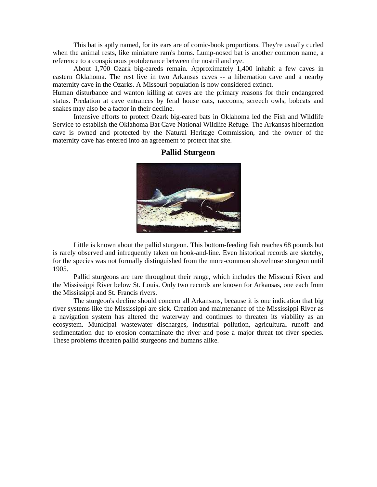This bat is aptly named, for its ears are of comic-book proportions. They're usually curled when the animal rests, like miniature ram's horns. Lump-nosed bat is another common name, a reference to a conspicuous protuberance between the nostril and eye.

About 1,700 Ozark big-eareds remain. Approximately 1,400 inhabit a few caves in eastern Oklahoma. The rest live in two Arkansas caves -- a hibernation cave and a nearby maternity cave in the Ozarks. A Missouri population is now considered extinct.

Human disturbance and wanton killing at caves are the primary reasons for their endangered status. Predation at cave entrances by feral house cats, raccoons, screech owls, bobcats and snakes may also be a factor in their decline.

Intensive efforts to protect Ozark big-eared bats in Oklahoma led the Fish and Wildlife Service to establish the Oklahoma Bat Cave National Wildlife Refuge. The Arkansas hibernation cave is owned and protected by the Natural Heritage Commission, and the owner of the maternity cave has entered into an agreement to protect that site.



## **Pallid Sturgeon**

Little is known about the pallid sturgeon. This bottom-feeding fish reaches 68 pounds but is rarely observed and infrequently taken on hook-and-line. Even historical records are sketchy, for the species was not formally distinguished from the more-common shovelnose sturgeon until 1905.

Pallid sturgeons are rare throughout their range, which includes the Missouri River and the Mississippi River below St. Louis. Only two records are known for Arkansas, one each from the Mississippi and St. Francis rivers.

The sturgeon's decline should concern all Arkansans, because it is one indication that big river systems like the Mississippi are sick. Creation and maintenance of the Mississippi River as a navigation system has altered the waterway and continues to threaten its viability as an ecosystem. Municipal wastewater discharges, industrial pollution, agricultural runoff and sedimentation due to erosion contaminate the river and pose a major threat tot river species. These problems threaten pallid sturgeons and humans alike.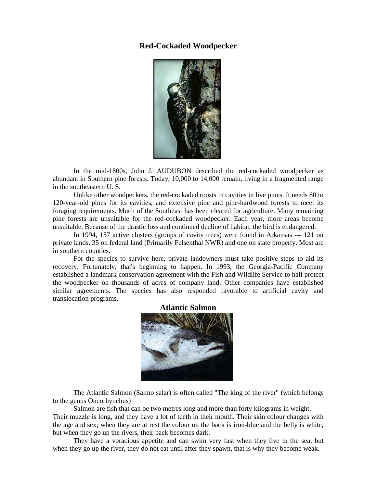## **Red-Cockaded Woodpecker**



In the mid-1800s, John J. AUDUBON described the red-cockaded woodpecker as abundant in Southern pine forests. Today, 10,000 to 14,000 remain, living in a fragmented range in the southeastern U. S.

Unlike other woodpeckers, the red-cockaded roosts in cavities in live pines. It needs 80 to 120-year-old pines for its cavities, and extensive pine and pine-hardwood forests to meet its foraging requirements. Much of the Southeast has been cleared for agriculture. Many remaining pine forests are unsuitable for the red-cockaded woodpecker. Each year, more areas become unsuitable. Because of the drastic loss and continued decline of habitat, the bird is endangered.

In 1994, 157 active clusters (groups of cavity trees) were found in Arkansas --- 121 on private lands, 35 on federal land (Primarily Felsenthal NWR) and one on state property. Most are in southern counties.

For the species to survive here, private landowners must take positive steps to aid its recovery. Fortunately, that's beginning to happen. In 1993, the Georgia-Pacific Company established a landmark conservation agreement with the Fish and Wildlife Service to hall protect the woodpecker on thousands of acres of company land. Other companies have established similar agreements. The species has also responded favorable to artificial cavity and translocation programs.



#### **Atlantic Salmon**

The Atlantic Salmon (Salmo salar) is often called "The king of the river" (which belongs to the genus Oncorhynchus)

Salmon are fish that can be two metres long and more than forty kilograms in weight. Their muzzle is long, and they have a lot of teeth in their mouth. Their skin colour changes with the age and sex; when they are at rest the colour on the back is iron-blue and the belly is white, but when they go up the rivers, their back becomes dark.

They have a voracious appetite and can swim very fast when they live in the sea, but when they go up the river, they do not eat until after they spawn, that is why they become weak.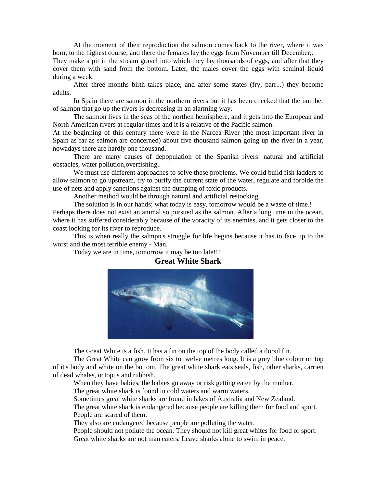At the moment of their reproduction the salmon comes back to the river, where it was born, to the highest course, and there the females lay the eggs from November till December;.

They make a pit in the stream gravel into which they lay thousands of eggs, and after that they cover them with sand from the bottom. Later, the males cover the eggs with seminal liquid during a week.

After three months birth takes place, and after some states (fry, parr...) they become adults.

In Spain there are salmon in the northern rivers but it has been checked that the number of salmon that go up the rivers is decreasing in an alarming way.

The salmon lives in the seas of the northen hemisphere, and it gets into the European and North American rivers at regular times and it is a relative of the Pacific salmon.

At the beginning of this century there were in the Narcea River (the most important river in Spain as far as salmon are concerned) about five thousand salmon going up the river in a year, nowadays there are hardly one thousand.

There are many causes of depopulation of the Spanish rivers: natural and artificial obstacles, water pollution,overfishing..

We must use different approaches to solve these problems. We could build fish ladders to allow salmon to go upstream, try to purify the current state of the water, regulate and forbide the use of nets and apply sanctions against the dumping of toxic products.

Another method would be through natural and artificial restocking.

The solution is in our hands; what today is easy, tomorrow would be a waste of time.! Perhaps there does not exist an animal so pursued as the salmon. After a long time in the ocean, where it has suffered considerably because of the voracity of its enemies, and it gets closer to the coast looking for its river to reproduce.

This is when really the salmpn's struggle for life begins because it has to face up to the worst and the most terrible enemy - Man.



Today we are in time, tomorrow it may be too late!!!

#### **Great White Shark**

The Great White is a fish. It has a fin on the top of the body called a dorsil fin.

The Great White can grow from six to twelve metres long. It is a grey blue colour on top of it's body and white on the bottom. The great white shark eats seals, fish, other sharks, carrien of dead whales, octopus and rubbish.

When they have babies, the babies go away or risk getting eaten by the mother.

The great white shark is found in cold waters and warm waters.

Sometimes great white sharks are found in lakes of Australia and New Zealand.

The great white shark is endangered because people are killing them for food and sport. People are scared of them.

They also are endangered because people are polluting the water.

People should not pollute the ocean. They should not kill great whites for food or sport. Great white sharks are not man eaters. Leave sharks alone to swim in peace.